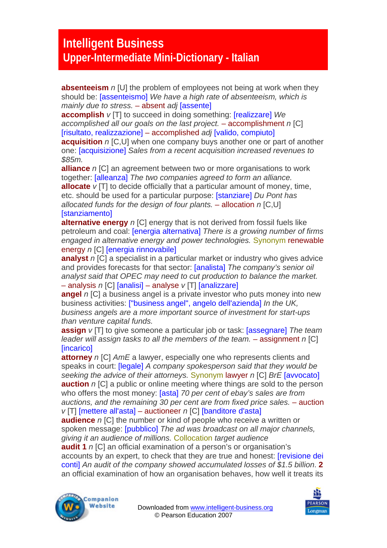## **Intelligent Business Upper-Intermediate Mini-Dictionary - Italian**

**absenteeism** *n* [U] the problem of employees not being at work when they should be: [assenteismo] *We have a high rate of absenteeism, which is mainly due to stress.* – absent *adj* [assente]

**accomplish** *v* [T] to succeed in doing something: [realizzare] *We accomplished all our goals on the last project.* – accomplishment *n* [C] [risultato, realizzazione] – accomplished *adj* [valido, compiuto]

**acquisition** *n* [C,U] when one company buys another one or part of another one: [acquisizione] *Sales from a recent acquisition increased revenues to \$85m.*

**alliance** *n* [C] an agreement between two or more organisations to work together: [alleanza] *The two companies agreed to form an alliance.* **allocate** *v* [T] to decide officially that a particular amount of money, time, etc. should be used for a particular purpose: [stanziare] *Du Pont has allocated funds for the design of four plants.* – allocation *n* [C,U] **[stanziamento]** 

**alternative energy** *n* [C] energy that is not derived from fossil fuels like petroleum and coal: [energia alternativa] *There is a growing number of firms engaged in alternative energy and power technologies.* Synonym renewable energy *n* [C] [energia rinnovabile]

**analyst** *n* [C] a specialist in a particular market or industry who gives advice and provides forecasts for that sector: [analista] *The company's senior oil analyst said that OPEC may need to cut production to balance the market.*  – analysis *n* [C] [analisi] – analyse *v* [T] [analizzare]

**angel** *n* [C] a business angel is a private investor who puts money into new business activities: ["business angel", angelo dell'azienda] *In the UK, business angels are a more important source of investment for start-ups than venture capital funds.* 

**assign** *v* [T] to give someone a particular job or task: [assegnare] *The team leader will assign tasks to all the members of the team.* – assignment *n* [C] [incarico]

**attorney** *n* [C] *AmE* a lawyer, especially one who represents clients and speaks in court: [legale] *A company spokesperson said that they would be seeking the advice of their attorneys.* Synonym lawyer *n* [C] *BrE* [avvocato] **auction** *n* [C] a public or online meeting where things are sold to the person who offers the most money: [asta] *70 per cent of ebay's sales are from* auctions, and the remaining 30 per cent are from fixed price sales. – auction *v* [T] [mettere all'asta] – auctioneer *n* [C] [banditore d'asta]

**audience** *n* [C] the number or kind of people who receive a written or spoken message: [pubblico] *The ad was broadcast on all major channels, giving it an audience of millions.* Collocation *target audience* 

**audit 1** *n* [C] an official examination of a person's or organisation's accounts by an expert, to check that they are true and honest: [revisione dei conti] *An audit of the company showed accumulated losses of \$1.5 billion*. **2**  an official examination of how an organisation behaves, how well it treats its



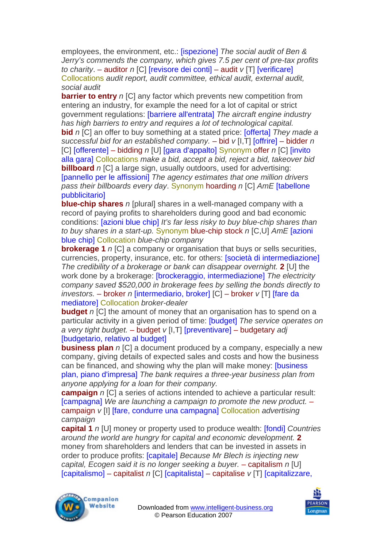employees, the environment, etc.: [ispezione] *The social audit of Ben & Jerry's commends the company, which gives 7.5 per cent of pre-tax profits to charity*. – auditor *n* [C] [revisore dei conti] – audit *v* [T] [verificare] Collocations *audit report, audit committee, ethical audit, external audit, social audit*

**barrier to entry** *n* [C] any factor which prevents new competition from entering an industry, for example the need for a lot of capital or strict government regulations: [barriere all'entrata] *The aircraft engine industry has high barriers to entry and requires a lot of technological capital.*  **bid** *n* [C] an offer to buy something at a stated price: [offerta] *They made a successful bid for an established company.* – bid *v* [I,T] [offrire] – bidder *n*  [C] [offerente] – bidding *n* [U] [gara d'appalto] Synonym offer *n* [C] [invito alla gara] Collocations *make a bid, accept a bid, reject a bid, takeover bid*  **billboard** *n* [C] a large sign, usually outdoors, used for advertising: [pannello per le affissioni] *The agency estimates that one million drivers pass their billboards every day*. Synonym hoarding *n* [C] *AmE* [tabellone pubblicitario]

**blue-chip shares** *n* [plural] shares in a well-managed company with a record of paying profits to shareholders during good and bad economic conditions: [azioni blue chip] *It's far less risky to buy blue-chip shares than to buy shares in a start-up.* Synonym blue-chip stock *n* [C,U] *AmE* [azioni blue chip] Collocation *blue-chip company* 

**brokerage 1** *n* [C] a company or organisation that buys or sells securities, currencies, property, insurance, etc. for others: [società di intermediazione] *The credibility of a brokerage or bank can disappear overnight.* **2** [U] the work done by a brokerage: [brockeraggio, intermediazione] *The electricity company saved \$520,000 in brokerage fees by selling the bonds directly to investors.* – broker *n* [intermediario, broker] [C] – broker *v* [T] [fare da mediatore] Collocation *broker-dealer* 

**budget** *n* [C] the amount of money that an organisation has to spend on a particular activity in a given period of time: [budget] *The service operates on a very tight budget.* – budget *v* [I,T] [preventivare] – budgetary *adj*  [budgetario, relativo al budget]

**business plan** *n* [C] a document produced by a company, especially a new company, giving details of expected sales and costs and how the business can be financed, and showing why the plan will make money: [business plan, piano d'impresa] *The bank requires a three-year business plan from anyone applying for a loan for their company.* 

**campaign** *n* [C] a series of actions intended to achieve a particular result: [campagna] *We are launching a campaign to promote the new product.* – campaign *v* [I] [fare, condurre una campagna] Collocation *advertising campaign* 

**capital 1** *n* [U] money or property used to produce wealth: [fondi] *Countries around the world are hungry for capital and economic development.* **2**  money from shareholders and lenders that can be invested in assets in order to produce profits: [capitale] *Because Mr Blech is injecting new capital, Ecogen said it is no longer seeking a buyer.* – capitalism *n* [U] [capitalismo] – capitalist *n* [C] [capitalista] – capitalise *v* [T] [capitalizzare,



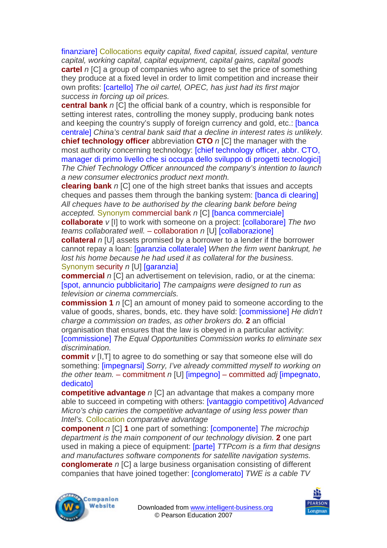finanziare] Collocations *equity capital, fixed capital, issued capital, venture capital, working capital, capital equipment, capital gains, capital goods*  **cartel** *n* [C] a group of companies who agree to set the price of something they produce at a fixed level in order to limit competition and increase their own profits: [cartello] *The oil cartel, OPEC, has just had its first major success in forcing up oil prices.* 

**central bank** *n* [C] the official bank of a country, which is responsible for setting interest rates, controlling the money supply, producing bank notes and keeping the country's supply of foreign currency and gold, etc.: [banca centrale] *China's central bank said that a decline in interest rates is unlikely.* 

**chief technology officer** abbreviation **CTO** *n* [C] the manager with the most authority concerning technology: [chief technology officer, abbr. CTO, manager di primo livello che si occupa dello sviluppo di progetti tecnologici] *The Chief Technology Officer announced the company's intention to launch a new consumer electronics product next month.* 

**clearing bank** *n* [C] one of the high street banks that issues and accepts cheques and passes them through the banking system: [banca di clearing] *All cheques have to be authorised by the clearing bank before being accepted.* Synonym commercial bank *n* [C] [banca commerciale]

**collaborate** *v* [I] to work with someone on a project: [collaborare] *The two teams collaborated well.* – collaboration *n* [U] [collaborazione]

**collateral** *n* [U] assets promised by a borrower to a lender if the borrower cannot repay a loan: [garanzia collaterale] *When the firm went bankrupt, he lost his home because he had used it as collateral for the business.*  Synonym security *n* [U] [garanzia]

**commercial** *n* [C] an advertisement on television, radio, or at the cinema: [spot, annuncio pubblicitario] *The campaigns were designed to run as television or cinema commercials.* 

**commission 1** *n* [C] an amount of money paid to someone according to the value of goods, shares, bonds, etc. they have sold: [commissione] *He didn't charge a commission on trades, as other brokers do.* **2** an official organisation that ensures that the law is obeyed in a particular activity: [commissione] *The Equal Opportunities Commission works to eliminate sex discrimination.* 

**commit**  $v$  [I, T] to agree to do something or say that someone else will do something: [impegnarsi] *Sorry, I've already committed myself to working on the other team.* – commitment *n* [U] [impegno] – committed *adj* [impegnato, dedicato]

**competitive advantage** *n* [C] an advantage that makes a company more able to succeed in competing with others: [vantaggio competitivo] *Advanced Micro's chip carries the competitive advantage of using less power than Intel's.* Collocation *comparative advantage* 

**component** *n* [C] **1** one part of something: **[componente]** The microchip *department is the main component of our technology division.* **2** one part used in making a piece of equipment: [parte] *TTPcom is a firm that designs and manufactures software components for satellite navigation systems.*  **conglomerate** *n* [C] a large business organisation consisting of different companies that have joined together: [conglomerato] *TWE is a cable TV* 



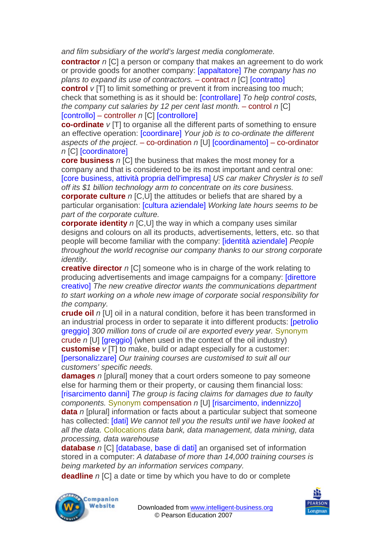*and film subsidiary of the world's largest media conglomerate.* 

**contractor** *n* ICI a person or company that makes an agreement to do work or provide goods for another company: [appaltatore] *The company has no plans to expand its use of contractors.* – contract *n* [C] [contratto]

**control**  $v[T]$  to limit something or prevent it from increasing too much; check that something is as it should be: [controllare] *To help control costs, the company cut salaries by 12 per cent last month. – control n [C]* [controllo] – controller *n* [C] [controllore]

**co-ordinate** *v* [T] to organise all the different parts of something to ensure an effective operation: [coordinare] *Your job is to co-ordinate the different aspects of the project*. – co-ordination *n* [U] [coordinamento] – co-ordinator *n* [C] [coordinatore]

**core business** *n* [C] the business that makes the most money for a company and that is considered to be its most important and central one: [core business, attività propria dell'impresa] *US car maker Chrysler is to sell off its \$1 billion technology arm to concentrate on its core business.* **corporate culture** *n* [C,U] the attitudes or beliefs that are shared by a particular organisation: [cultura aziendale] *Working late hours seems to be part of the corporate culture.* 

**corporate identity** *n* [C,U] the way in which a company uses similar designs and colours on all its products, advertisements, letters, etc. so that people will become familiar with the company: [identità aziendale] *People throughout the world recognise our company thanks to our strong corporate identity.* 

**creative director** *n* [C] someone who is in charge of the work relating to producing advertisements and image campaigns for a company: [direttore creativo] *The new creative director wants the communications department to start working on a whole new image of corporate social responsibility for the company.* 

**crude oil** *n* [U] oil in a natural condition, before it has been transformed in an industrial process in order to separate it into different products: [petrolio greggio] *300 million tons of crude oil are exported every year.* Synonym crude *n* [U] [greggio] (when used in the context of the oil industry) **customise** *v* [T] to make, build or adapt especially for a customer: [personalizzare] *Our training courses are customised to suit all our customers' specific needs.* 

**damages** *n* [plural] money that a court orders someone to pay someone else for harming them or their property, or causing them financial loss: [risarcimento danni] *The group is facing claims for damages due to faulty components.* Synonym compensation *n* [U] [risarcimento, indennizzo]

**data** *n* [plural] information or facts about a particular subject that someone has collected: [dati] *We cannot tell you the results until we have looked at all the data.* Collocations *data bank, data management, data mining, data processing, data warehouse* 

**database** *n* [C] [database, base di dati] an organised set of information stored in a computer: *A database of more than 14,000 training courses is being marketed by an information services company.* 

**deadline** *n* [C] a date or time by which you have to do or complete



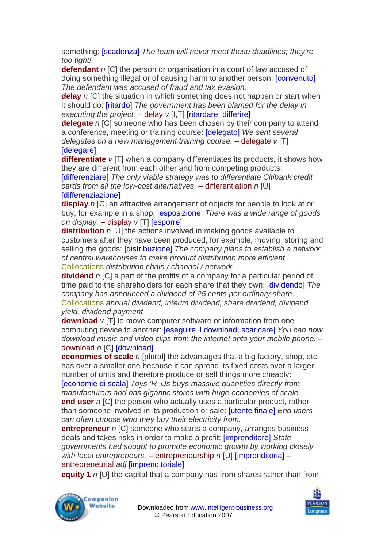something: [scadenza] *The team will never meet these deadlines; they're too tight!* 

**defendant** *n* [C] the person or organisation in a court of law accused of doing something illegal or of causing harm to another person: [convenuto] *The defendant was accused of fraud and tax evasion.* 

**delay** *n* [C] the situation in which something does not happen or start when it should do: [ritardo] *The government has been blamed for the delay in executing the project.* – delay *v* [I,T] [ritardare, differire]

**delegate** *n* [C] someone who has been chosen by their company to attend a conference, meeting or training course: [delegato] *We sent several delegates on a new management training course.* – delegate *v* [T] [delegare]

**differentiate**  $v$  [T] when a company differentiates its products, it shows how they are different from each other and from competing products:

[differenziare] *The only viable strategy was to differentiate Citibank credit cards from all the low-cost alternatives.* – differentiation *n* [U] **Idifferenziazionel** 

**display** *n* [C] an attractive arrangement of objects for people to look at or buy, for example in a shop: [esposizione] *There was a wide range of goods on display.* – display *v* [T] [esporre]

**distribution** *n* [U] the actions involved in making goods available to customers after they have been produced, for example, moving, storing and selling the goods: [distribuzione] *The company plans to establish a network of central warehouses to make product distribution more efficient.*  Collocations *distribution chain / channel / network* 

**dividend** *n* [C] a part of the profits of a company for a particular period of time paid to the shareholders for each share that they own: [dividendo] *The company has announced a dividend of 25 cents per ordinary share.*  Collocations *annual dividend, interim dividend, share dividend, dividend yield, dividend payment* 

**download**  $v$  [T] to move computer software or information from one computing device to another: [eseguire il download, scaricare] *You can now download music and video clips from the internet onto your mobile phone.* – download *n* [C] [download]

**economies of scale** *n* [plural] the advantages that a big factory, shop, etc. has over a smaller one because it can spread its fixed costs over a larger number of units and therefore produce or sell things more cheaply: [economie di scala] *Toys 'R' Us buys massive quantities directly from manufacturers and has gigantic stores with huge economies of scale.*  **end user** *n* [C] the person who actually uses a particular product, rather than someone involved in its production or sale: [utente finale] *End users can often choose who they buy their electricity from.* 

**entrepreneur** *n* [C] someone who starts a company, arranges business deals and takes risks in order to make a profit: [imprenditore] *State governments had sought to promote economic growth by working closely with local entrepreneurs.* – entrepreneurship *n* [U] [imprenditoria] – entrepreneurial *adj* [imprenditoriale]

**equity 1** *n* [U] the capital that a company has from shares rather than from



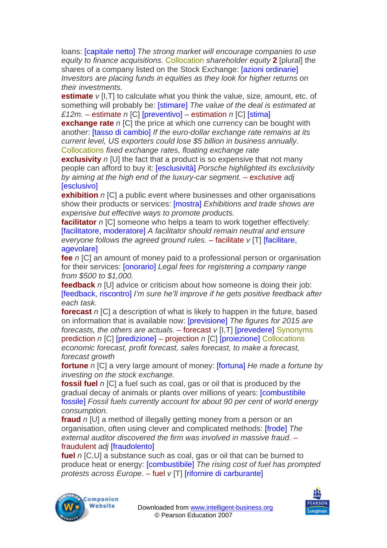loans: [capitale netto] *The strong market will encourage companies to use equity to finance acquisitions.* Collocation *shareholder equity* **2** [plural] the shares of a company listed on the Stock Exchange: *[azioni ordinarie] Investors are placing funds in equities as they look for higher returns on their investments.* 

**estimate** *v* [I, T] to calculate what you think the value, size, amount, etc. of something will probably be: [stimare] *The value of the deal is estimated at £12m.* – estimate *n* [C] [preventivo] – estimation *n* [C] [stima]

**exchange rate** *n* [C] the price at which one currency can be bought with another: [tasso di cambio] *If the euro-dollar exchange rate remains at its current level, US exporters could lose \$5 billion in business annually*. Collocations *fixed exchange rates, floating exchange rate* 

**exclusivity** *n* [U] the fact that a product is so expensive that not many people can afford to buy it: [esclusività] *Porsche highlighted its exclusivity by aiming at the high end of the luxury-car segment.* – exclusive *adj*  **[esclusivo]** 

**exhibition** *n* [C] a public event where businesses and other organisations show their products or services: [mostra] *Exhibitions and trade shows are expensive but effective ways to promote products.* 

**facilitator** *n* [C] someone who helps a team to work together effectively: [facilitatore, moderatore] *A facilitator should remain neutral and ensure everyone follows the agreed ground rules.* – facilitate *v* [T] [facilitare, agevolare]

**fee** *n* [C] an amount of money paid to a professional person or organisation for their services: [onorario] *Legal fees for registering a company range from \$500 to \$1,000.* 

**feedback** *n* [U] advice or criticism about how someone is doing their job: [feedback, riscontro] *I'm sure he'll improve if he gets positive feedback after each task.* 

**forecast** *n* [C] a description of what is likely to happen in the future, based on information that is available now: [previsione] *The figures for 2015 are forecasts, the others are actuals.* – forecast *v* [I,T] [prevedere] Synonyms prediction *n* [C] [predizione] – projection *n* [C] [proiezione] Collocations *economic forecast, profit forecast, sales forecast, to make a forecast, forecast growth* 

**fortune** *n* [C] a very large amount of money: [fortuna] *He made a fortune by investing on the stock exchange.* 

**fossil fuel** *n* [C] a fuel such as coal, gas or oil that is produced by the gradual decay of animals or plants over millions of years: [combustibile fossile] *Fossil fuels currently account for about 90 per cent of world energy consumption.* 

**fraud** *n* [U] a method of illegally getting money from a person or an organisation, often using clever and complicated methods: [frode] *The external auditor discovered the firm was involved in massive fraud.* – fraudulent *adj* [fraudolento]

**fuel** *n* [C,U] a substance such as coal, gas or oil that can be burned to produce heat or energy: [combustibile] *The rising cost of fuel has prompted protests across Europe*. – fuel *v* [T] [rifornire di carburante]



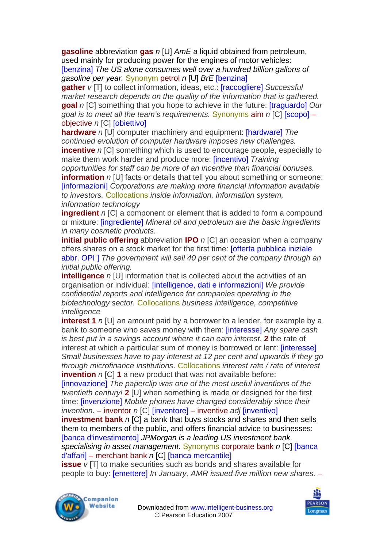**gasoline** abbreviation **gas** *n* [U] *AmE* a liquid obtained from petroleum, used mainly for producing power for the engines of motor vehicles: [benzina] *The US alone consumes well over a hundred billion gallons of gasoline per year.* Synonym petrol *n* [U] *BrE* [benzina]

**gather** *v* [T] to collect information, ideas, etc.: [raccogliere] *Successful market research depends on the quality of the information that is gathered.*  **goal** *n* [C] something that you hope to achieve in the future: [traguardo] *Our goal is to meet all the team's requirements.* Synonyms aim *n* [C] [scopo] – objective *n* [C] [obiettivo]

**hardware** *n* [U] computer machinery and equipment: [hardware] *The continued evolution of computer hardware imposes new challenges.* 

**incentive** *n* [C] something which is used to encourage people, especially to make them work harder and produce more: [incentivo] *Training* 

*opportunities for staff can be more of an incentive than financial bonuses.*  **information** *n* [U] facts or details that tell you about something or someone: [informazioni] *Corporations are making more financial information available to investors.* Collocations *inside information, information system, information technology*

**ingredient** *n* [C] a component or element that is added to form a compound or mixture: [ingrediente] *Mineral oil and petroleum are the basic ingredients in many cosmetic products.* 

**initial public offering** abbreviation **IPO** *n* [C] an occasion when a company offers shares on a stock market for the first time: [offerta pubblica iniziale abbr. OPI ] *The government will sell 40 per cent of the company through an initial public offering.* 

**intelligence** *n* [U] information that is collected about the activities of an organisation or individual: [intelligence, dati e informazioni] *We provide confidential reports and intelligence for companies operating in the biotechnology sector.* Collocations *business intelligence, competitive intelligence* 

**interest 1** *n* [U] an amount paid by a borrower to a lender, for example by a bank to someone who saves money with them: [interesse] *Any spare cash is best put in a savings account where it can earn interest*. **2** the rate of interest at which a particular sum of money is borrowed or lent: [interesse] *Small businesses have to pay interest at 12 per cent and upwards if they go through microfinance institutions*. Collocations *interest rate / rate of interest*  **invention** *n* [C] **1** a new product that was not available before:

[innovazione] *The paperclip was one of the most useful inventions of the twentieth century!* **2** [U] when something is made or designed for the first time: [invenzione] *Mobile phones have changed considerably since their invention.* – inventor *n* [C] [inventore] – inventive *adj* [inventivo]

**investment bank** *n* [C] a bank that buys stocks and shares and then sells them to members of the public, and offers financial advice to businesses: [banca d'investimento] *JPMorgan is a leading US investment bank specialising in asset management.* Synonyms corporate bank *n* [C] [banca d'affari] – merchant bank *n* [C] [banca mercantile]

**issue** *v* [T] to make securities such as bonds and shares available for people to buy: [emettere] *In January, AMR issued five million new shares.* –



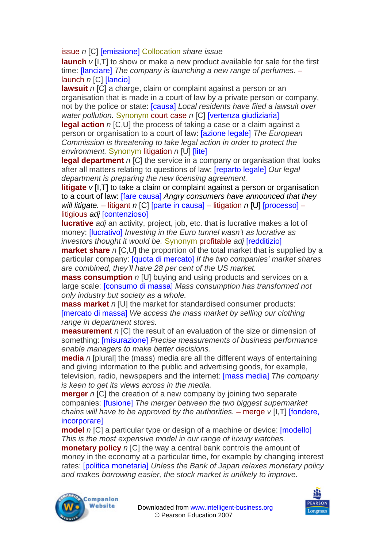issue *n* [C] [emissione] Collocation *share issue* 

**launch** *v* [I, T] to show or make a new product available for sale for the first time: [lanciare] *The company is launching a new range of perfumes.* – launch *n* [C] [lancio]

**lawsuit** *n* [C] a charge, claim or complaint against a person or an organisation that is made in a court of law by a private person or company, not by the police or state: [causa] *Local residents have filed a lawsuit over water pollution.* Synonym court case *n* [C] [vertenza giudiziaria]

**legal action** *n* [C,U] the process of taking a case or a claim against a person or organisation to a court of law: [azione legale] *The European Commission is threatening to take legal action in order to protect the environment.* Synonym litigation *n* [U] [lite]

**legal department** *n* [C] the service in a company or organisation that looks after all matters relating to questions of law: [reparto legale] *Our legal department is preparing the new licensing agreement.* 

**litigate**  $v$  [I, T] to take a claim or complaint against a person or organisation to a court of law: [fare causa] *Angry consumers have announced that they will litigate.* – litigant *n* [C] [parte in causa] – litigation *n* [U] [processo] – litigious *adj* [contenzioso]

**lucrative** *adj* an activity, project, job, etc. that is lucrative makes a lot of money: [lucrativo] *Investing in the Euro tunnel wasn't as lucrative as investors thought it would be.* Synonym profitable *adj* [redditizio]

**market share** *n* [C,U] the proportion of the total market that is supplied by a particular company: [quota di mercato] *If the two companies' market shares are combined, they'll have 28 per cent of the US market.* 

**mass consumption** *n* [U] buying and using products and services on a large scale: [consumo di massa] *Mass consumption has transformed not only industry but society as a whole.* 

**mass market** *n* [U] the market for standardised consumer products: [mercato di massa] *We access the mass market by selling our clothing range in department stores.* 

**measurement** *n* [C] the result of an evaluation of the size or dimension of something: [misurazione] *Precise measurements of business performance enable managers to make better decisions.* 

**media** *n* [plural] the (mass) media are all the different ways of entertaining and giving information to the public and advertising goods, for example, television, radio, newspapers and the internet: [mass media] *The company is keen to get its views across in the media.* 

**merger** *n* [C] the creation of a new company by joining two separate companies: [fusione] *The merger between the two biggest supermarket chains will have to be approved by the authorities. – merge <i>v* [I,T] [fondere, incorporare]

**model** *n* [C] a particular type or design of a machine or device: [modello] *This is the most expensive model in our range of luxury watches.* 

**monetary policy** *n* [C] the way a central bank controls the amount of money in the economy at a particular time, for example by changing interest rates: [politica monetaria] *Unless the Bank of Japan relaxes monetary policy and makes borrowing easier, the stock market is unlikely to improve.* 



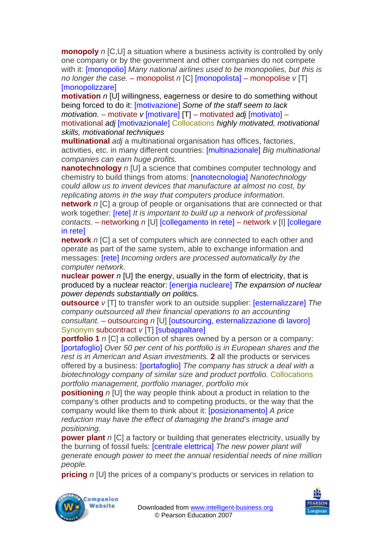**monopoly** *n* [C,U] a situation where a business activity is controlled by only one company or by the government and other companies do not compete with it: [monopolio] *Many national airlines used to be monopolies, but this is no longer the case.* – monopolist *n* [C] [monopolista] – monopolise *v* [T] **Imonopolizzare1** 

**motivation** *n* [U] willingness, eagerness or desire to do something without being forced to do it: [motivazione] *Some of the staff seem to lack motivation.* – motivate *v* [motivare] [T] – motivated *adj* [motivato] – motivational *adj* [motivazionale] Collocations *highly motivated, motivational skills, motivational techniques* 

**multinational** *adj* a multinational organisation has offices, factories, activities, etc. in many different countries: [multinazionale] *Big multinational companies can earn huge profits.* 

**nanotechnology** *n* [U] a science that combines computer technology and chemistry to build things from atoms: [nanotecnologia] *Nanotechnology could allow us to invent devices that manufacture at almost no cost, by replicating atoms in the way that computers produce information.* 

**network** *n* [C] a group of people or organisations that are connected or that work together: [rete] *It is important to build up a network of professional contacts.* – networking *n* [U] [collegamento in rete] – network *v* [I] [collegare in rete]

**network** *n* [C] a set of computers which are connected to each other and operate as part of the same system, able to exchange information and messages: [rete] *Incoming orders are processed automatically by the computer network.* 

**nuclear power** *n* [U] the energy, usually in the form of electricity, that is produced by a nuclear reactor: [energia nucleare] *The expansion of nuclear power depends substantially on politi*cs.

**outsource** *v* [T] to transfer work to an outside supplier: [esternalizzare] *The company outsourced all their financial operations to an accounting consultant.* – outsourcing *n* [U] [outsourcing, esternalizzazione di lavoro] Synonym subcontract *v* [T] [subappaltare]

**portfolio 1** *n* [C] a collection of shares owned by a person or a company: [portafoglio] *Over 50 per cent of his portfolio is in European shares and the rest is in American and Asian investments.* **2** all the products or services offered by a business: [portafoglio] *The company has struck a deal with a biotechnology company of similar size and product portfolio.* Collocations *portfolio management, portfolio manager, portfolio mix* 

**positioning** *n* [U] the way people think about a product in relation to the company's other products and to competing products, or the way that the company would like them to think about it: [posizionamento] *A price reduction may have the effect of damaging the brand's image and positioning.*

**power plant** *n* [C] a factory or building that generates electricity, usually by the burning of fossil fuels: [centrale elettrica] *The new power plant will generate enough power to meet the annual residential needs of nine million people.* 

**pricing** *n* [U] the prices of a company's products or services in relation to



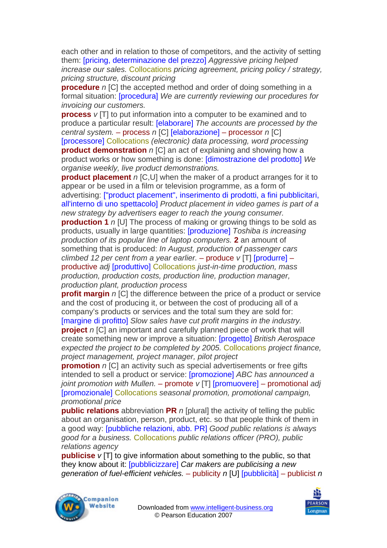each other and in relation to those of competitors, and the activity of setting them: [pricing, determinazione del prezzo] *Aggressive pricing helped increase our sales.* Collocations *pricing agreement, pricing policy / strategy, pricing structure, discount pricing* 

**procedure** *n* [C] the accepted method and order of doing something in a formal situation: [procedura] *We are currently reviewing our procedures for invoicing our customers.* 

**process**  $v$  [T] to put information into a computer to be examined and to produce a particular result: [elaborare] *The accounts are processed by the central system.* – process *n* [C] [elaborazione] – processor *n* [C]

[processore] Collocations *(electronic) data processing, word processing*  **product demonstration** *n* [C] an act of explaining and showing how a product works or how something is done: [dimostrazione del prodotto] *We organise weekly, live product demonstrations.* 

**product placement** *n* [C,U] when the maker of a product arranges for it to appear or be used in a film or television programme, as a form of advertising: ["product placement", inserimento di prodotti, a fini pubblicitari, all'interno di uno spettacolo] *Product placement in video games is part of a new strategy by advertisers eager to reach the young consumer.* 

**production 1** *n* [U] The process of making or growing things to be sold as products, usually in large quantities: [produzione] *Toshiba is increasing production of its popular line of laptop computers.* **2** an amount of something that is produced: *In August, production of passenger cars climbed 12 per cent from a year earlier.* – produce *v* [T] [produrre] – productive *adj* [produttivo] Collocations *just-in-time production, mass production, production costs, production line, production manager, production plant, production process* 

**profit margin** *n* [C] the difference between the price of a product or service and the cost of producing it, or between the cost of producing all of a company's products or services and the total sum they are sold for: [margine di profitto] *Slow sales have cut profit margins in the industry.*  **project** *n* [C] an important and carefully planned piece of work that will

create something new or improve a situation: [progetto] *British Aerospace expected the project to be completed by 2005.* Collocations *project finance, project management, project manager, pilot project* 

**promotion** *n* [C] an activity such as special advertisements or free gifts intended to sell a product or service: [promozione] *ABC has announced a joint promotion with Mullen.* – promote *v* [T] [promuovere] – promotional *adj*  [promozionale] Collocations *seasonal promotion, promotional campaign, promotional price* 

**public relations** abbreviation **PR** *n* [plural] the activity of telling the public about an organisation, person, product, etc. so that people think of them in a good way: [pubbliche relazioni, abb. PR] *Good public relations is always good for a business.* Collocations *public relations officer (PRO), public relations agency* 

**publicise** *v* [T] to give information about something to the public, so that they know about it: [pubblicizzare] *Car makers are publicising a new generation of fuel-efficient vehicles.* – publicity *n* [U] [pubblicità] – publicist *n* 



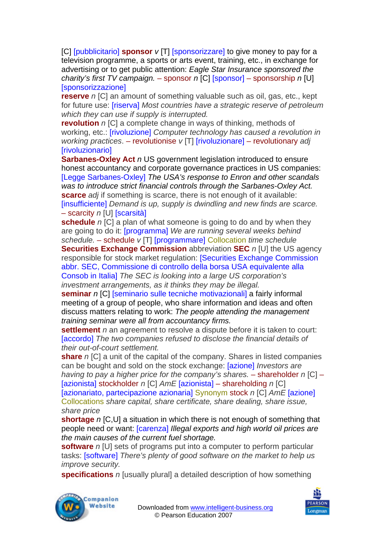[C] [pubblicitario] **sponsor** *v* [T] [sponsorizzare] to give money to pay for a television programme, a sports or arts event, training, etc., in exchange for advertising or to get public attention: *Eagle Star Insurance sponsored the charity's first TV campaign.* – sponsor *n* [C] [sponsor] – sponsorship *n* [U] **[sponsorizzazione]** 

**reserve** *n* [C] an amount of something valuable such as oil, gas, etc., kept for future use: [riserva] *Most countries have a strategic reserve of petroleum which they can use if supply is interrupted.* 

**revolution** *n* [C] a complete change in ways of thinking, methods of working, etc.: [rivoluzione] *Computer technology has caused a revolution in working practices*. – revolutionise *v* [T] [rivoluzionare] – revolutionary *adj*  **[rivoluzionario]** 

**Sarbanes-Oxley Act** *n* US government legislation introduced to ensure honest accountancy and corporate governance practices in US companies: [Legge Sarbanes-Oxley] *The USA's response to Enron and other scandals was to introduce strict financial controls through the Sarbanes-Oxley Act.* **scarce** *adj* if something is scarce, there is not enough of it available: [insufficiente] *Demand is up, supply is dwindling and new finds are scarce.*  – scarcity *n* [U] [scarsità]

**schedule** *n* [C] a plan of what someone is going to do and by when they are going to do it: [programma] *We are running several weeks behind schedule.* – schedule *v* [T] [programmare] Collocation *time schedule* 

**Securities Exchange Commission** abbreviation **SEC** *n* [U] the US agency responsible for stock market regulation: [Securities Exchange Commission abbr. SEC, Commissione di controllo della borsa USA equivalente alla Consob in Italia] *The SEC is looking into a large US corporation's investment arrangements, as it thinks they may be illegal.* 

**seminar** *n* [C] [seminario sulle tecniche motivazionali] a fairly informal meeting of a group of people, who share information and ideas and often discuss matters relating to work: *The people attending the management training seminar were all from accountancy firms.* 

**settlement** *n* an agreement to resolve a dispute before it is taken to court: [accordo] The two companies refused to disclose the financial details of *their out-of-court settlement.* 

**share** *n* [C] a unit of the capital of the company. Shares in listed companies can be bought and sold on the stock exchange: [azione] *Investors are having to pay a higher price for the company's shares.* – shareholder *n* [C] – [azionista] stockholder *n* [C] *AmE* [azionista] – shareholding *n* [C] [azionariato, partecipazione azionaria] Synonym stock *n* [C] *AmE* [azione] Collocations *share capital, share certificate, share dealing, share issue, share price* 

**shortage** *n* [C,U] a situation in which there is not enough of something that people need or want: [carenza] *Illegal exports and high world oil prices are the main causes of the current fuel shortage.* 

**software** *n* [U] sets of programs put into a computer to perform particular tasks: [software] *There's plenty of good software on the market to help us improve security.* 

**specifications** *n* [usually plural] a detailed description of how something



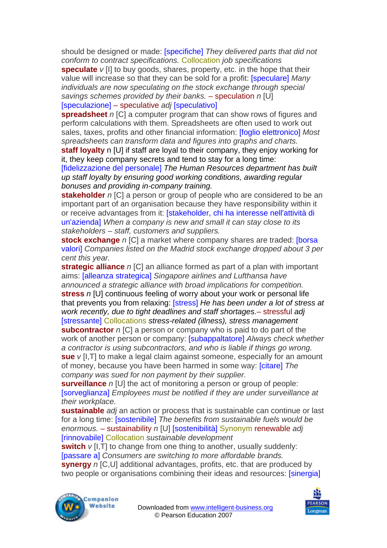should be designed or made: [specifiche] *They delivered parts that did not conform to contract specifications.* Collocation *job specifications* 

**speculate** *v* [I] to buy goods, shares, property, etc. in the hope that their value will increase so that they can be sold for a profit: [speculare] *Many individuals are now speculating on the stock exchange through special savings schemes provided by their banks.* – speculation *n* [U] [speculazione] – speculative *adj* [speculativo]

**spreadsheet** *n* [C] a computer program that can show rows of figures and perform calculations with them. Spreadsheets are often used to work out sales, taxes, profits and other financial information: [foglio elettronico] *Most spreadsheets can transform data and figures into graphs and charts.* 

**staff loyalty** n [U] if staff are loyal to their company, they enjoy working for it, they keep company secrets and tend to stay for a long time:

[fidelizzazione del personale] *The Human Resources department has built up staff loyalty by ensuring good working conditions, awarding regular bonuses and providing in-company training.* 

**stakeholder** *n* [C] a person or group of people who are considered to be an important part of an organisation because they have responsibility within it or receive advantages from it: [stakeholder, chi ha interesse nell'attività di un'azienda] *When a company is new and small it can stay close to its stakeholders – staff, customers and suppliers.* 

**stock exchange** *n* [C] a market where company shares are traded: [borsa] valori] *Companies listed on the Madrid stock exchange dropped about 3 per cent this year.* 

**strategic alliance** *n* [C] an alliance formed as part of a plan with important aims: [alleanza strategica] *Singapore airlines and Lufthansa have announced a strategic alliance with broad implications for competition.*  **stress** *n* [U] continuous feeling of worry about your work or personal life that prevents you from relaxing: [stress] *He has been under a lot of stress at work recently, due to tight deadlines and staff shortages.*– stressful *adj*  [stressante] Collocations *stress-related (illness), stress management*  **subcontractor** *n* [C] a person or company who is paid to do part of the work of another person or company: [subappaltatore] *Always check whether a contractor is using subcontractors, and who is liable if things go wrong.*  **sue** *v* [I,T] to make a legal claim against someone, especially for an amount of money, because you have been harmed in some way: [citare] *The company was sued for non payment by their supplier.* 

**surveillance** *n* [U] the act of monitoring a person or group of people: [sorveglianza] *Employees must be notified if they are under surveillance at their workplace.* 

**sustainable** *adj* an action or process that is sustainable can continue or last for a long time: [sostenibile] *The benefits from sustainable fuels would be enormous.* – sustainability *n* [U] [sostenibilità] Synonym renewable *adj* [rinnovabile] Collocation *sustainable development*

**switch**  $v$  [I, T] to change from one thing to another, usually suddenly: [passare a] *Consumers are switching to more affordable brands.*  **synergy** *n* [C,U] additional advantages, profits, etc. that are produced by two people or organisations combining their ideas and resources: *[sinergia]*